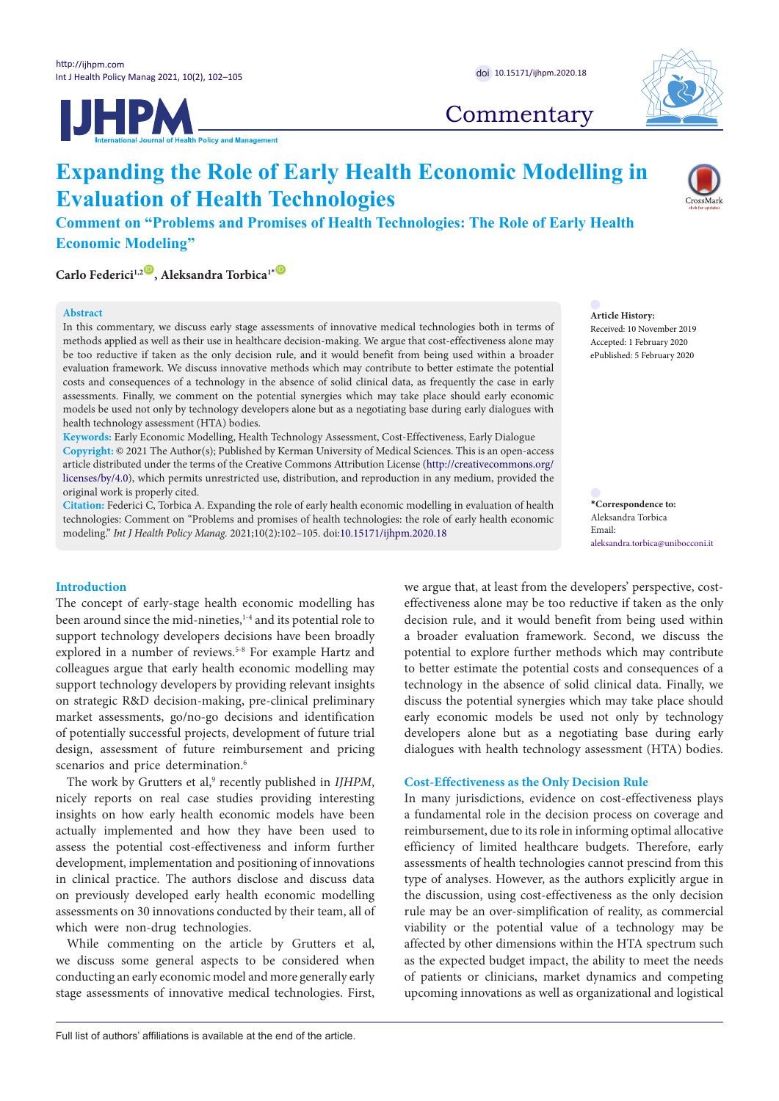



# **Commentary**

# **Expanding the Role of Early Health Economic Modelling in Evaluation of Health Technologies**

**Comment on "Problems and Promises of Health Technologies: The Role of Early Health Economic Modeling"**

 $\text{Carlo Federici}^{1,2}$ **D**, Aleksandra Torbica<sup>1</sub>**[\\*](#page-1-0) D**</sup>

### **Abstract**

In this commentary, we discuss early stage assessments of innovative medical technologies both in terms of methods applied as well as their use in healthcare decision-making. We argue that cost-effectiveness alone may be too reductive if taken as the only decision rule, and it would benefit from being used within a broader evaluation framework. We discuss innovative methods which may contribute to better estimate the potential costs and consequences of a technology in the absence of solid clinical data, as frequently the case in early assessments. Finally, we comment on the potential synergies which may take place should early economic models be used not only by technology developers alone but as a negotiating base during early dialogues with health technology assessment (HTA) bodies.

**Keywords:** Early Economic Modelling, Health Technology Assessment, Cost-Effectiveness, Early Dialogue **Copyright:** © 2021 The Author(s); Published by Kerman University of Medical Sciences. This is an open-access article distributed under the terms of the Creative Commons Attribution License [\(http://creativecommons.org/](http://creativecommons.org/licenses/by/4.0) [licenses/by/4.0](http://creativecommons.org/licenses/by/4.0)), which permits unrestricted use, distribution, and reproduction in any medium, provided the original work is properly cited.

**Citation:** Federici C, Torbica A. Expanding the role of early health economic modelling in evaluation of health technologies: Comment on "Problems and promises of health technologies: the role of early health economic modeling." *Int J Health Policy Manag.* 2021;10(2):102–105. doi:[10.15171/ijhpm.2020.18](https://doi.org/10.15171/ijhpm.2020.18)

**Introduction**

The concept of early-stage health economic modelling has been around since the mid-nineties,<sup>1-4</sup> and its potential role to support technology developers decisions have been broadly explored in a number of reviews.<sup>5-8</sup> For example Hartz and colleagues argue that early health economic modelling may support technology developers by providing relevant insights on strategic R&D decision-making, pre-clinical preliminary market assessments, go/no-go decisions and identification of potentially successful projects, development of future trial design, assessment of future reimbursement and pricing scenarios and price determination.<sup>6</sup>

The work by Grutters et al,<sup>9</sup> recently published in *IJHPM*, nicely reports on real case studies providing interesting insights on how early health economic models have been actually implemented and how they have been used to assess the potential cost-effectiveness and inform further development, implementation and positioning of innovations in clinical practice. The authors disclose and discuss data on previously developed early health economic modelling assessments on 30 innovations conducted by their team, all of which were non-drug technologies.

While commenting on the article by Grutters et al, we discuss some general aspects to be considered when conducting an early economic model and more generally early stage assessments of innovative medical technologies. First, **Article History:** Received: 10 November 2019 Accepted: 1 February 2020 ePublished: 5 February 2020

**\*Correspondence to:** Aleksandra Torbica Email: aleksandra.torbica@unibocconi.it

we argue that, at least from the developers' perspective, costeffectiveness alone may be too reductive if taken as the only decision rule, and it would benefit from being used within a broader evaluation framework. Second, we discuss the potential to explore further methods which may contribute to better estimate the potential costs and consequences of a technology in the absence of solid clinical data. Finally, we discuss the potential synergies which may take place should early economic models be used not only by technology developers alone but as a negotiating base during early dialogues with health technology assessment (HTA) bodies.

## **Cost-Effectiveness as the Only Decision Rule**

In many jurisdictions, evidence on cost-effectiveness plays a fundamental role in the decision process on coverage and reimbursement, due to its role in informing optimal allocative efficiency of limited healthcare budgets. Therefore, early assessments of health technologies cannot prescind from this type of analyses. However, as the authors explicitly argue in the discussion, using cost-effectiveness as the only decision rule may be an over-simplification of reality, as commercial viability or the potential value of a technology may be affected by other dimensions within the HTA spectrum such as the expected budget impact, the ability to meet the needs of patients or clinicians, market dynamics and competing upcoming innovations as well as organizational and logistical

Full list of authors' affiliations is available at the end of the article.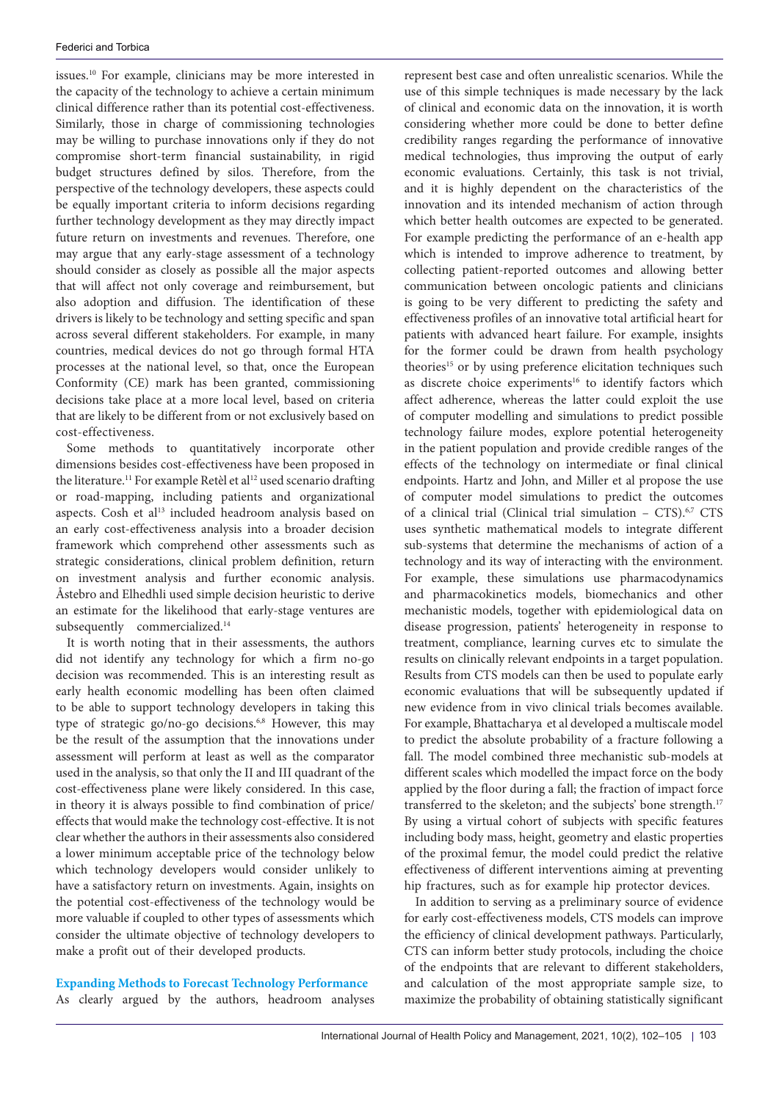issues.10 For example, clinicians may be more interested in the capacity of the technology to achieve a certain minimum clinical difference rather than its potential cost-effectiveness. Similarly, those in charge of commissioning technologies may be willing to purchase innovations only if they do not compromise short-term financial sustainability, in rigid budget structures defined by silos. Therefore, from the perspective of the technology developers, these aspects could be equally important criteria to inform decisions regarding further technology development as they may directly impact future return on investments and revenues. Therefore, one may argue that any early-stage assessment of a technology should consider as closely as possible all the major aspects that will affect not only coverage and reimbursement, but also adoption and diffusion. The identification of these drivers is likely to be technology and setting specific and span across several different stakeholders. For example, in many countries, medical devices do not go through formal HTA processes at the national level, so that, once the European Conformity (CE) mark has been granted, commissioning decisions take place at a more local level, based on criteria that are likely to be different from or not exclusively based on cost-effectiveness.

<span id="page-1-0"></span>Some methods to quantitatively incorporate other dimensions besides cost-effectiveness have been proposed in the literature.<sup>11</sup> For example Retèl et al<sup>12</sup> used scenario drafting or road-mapping, including patients and organizational aspects. Cosh et al<sup>13</sup> included headroom analysis based on an early cost-effectiveness analysis into a broader decision framework which comprehend other assessments such as strategic considerations, clinical problem definition, return on investment analysis and further economic analysis. Åstebro and Elhedhli used simple decision heuristic to derive an estimate for the likelihood that early-stage ventures are subsequently commercialized.<sup>14</sup>

It is worth noting that in their assessments, the authors did not identify any technology for which a firm no-go decision was recommended. This is an interesting result as early health economic modelling has been often claimed to be able to support technology developers in taking this type of strategic go/no-go decisions.<sup>6,8</sup> However, this may be the result of the assumption that the innovations under assessment will perform at least as well as the comparator used in the analysis, so that only the II and III quadrant of the cost-effectiveness plane were likely considered. In this case, in theory it is always possible to find combination of price/ effects that would make the technology cost-effective. It is not clear whether the authors in their assessments also considered a lower minimum acceptable price of the technology below which technology developers would consider unlikely to have a satisfactory return on investments. Again, insights on the potential cost-effectiveness of the technology would be more valuable if coupled to other types of assessments which consider the ultimate objective of technology developers to make a profit out of their developed products.

**Expanding Methods to Forecast Technology Performance**  As clearly argued by the authors, headroom analyses

represent best case and often unrealistic scenarios. While the use of this simple techniques is made necessary by the lack of clinical and economic data on the innovation, it is worth considering whether more could be done to better define credibility ranges regarding the performance of innovative medical technologies, thus improving the output of early economic evaluations. Certainly, this task is not trivial, and it is highly dependent on the characteristics of the innovation and its intended mechanism of action through which better health outcomes are expected to be generated. For example predicting the performance of an e-health app which is intended to improve adherence to treatment, by collecting patient-reported outcomes and allowing better communication between oncologic patients and clinicians is going to be very different to predicting the safety and effectiveness profiles of an innovative total artificial heart for patients with advanced heart failure. For example, insights for the former could be drawn from health psychology theories<sup>15</sup> or by using preference elicitation techniques such as discrete choice experiments<sup>16</sup> to identify factors which affect adherence, whereas the latter could exploit the use of computer modelling and simulations to predict possible technology failure modes, explore potential heterogeneity in the patient population and provide credible ranges of the effects of the technology on intermediate or final clinical endpoints. Hartz and John, and Miller et al propose the use of computer model simulations to predict the outcomes of a clinical trial (Clinical trial simulation - CTS).<sup>6,7</sup> CTS uses synthetic mathematical models to integrate different sub-systems that determine the mechanisms of action of a technology and its way of interacting with the environment. For example, these simulations use pharmacodynamics and pharmacokinetics models, biomechanics and other mechanistic models, together with epidemiological data on disease progression, patients' heterogeneity in response to treatment, compliance, learning curves etc to simulate the results on clinically relevant endpoints in a target population. Results from CTS models can then be used to populate early economic evaluations that will be subsequently updated if new evidence from in vivo clinical trials becomes available. For example, Bhattacharya et al developed a multiscale model to predict the absolute probability of a fracture following a fall. The model combined three mechanistic sub-models at different scales which modelled the impact force on the body applied by the floor during a fall; the fraction of impact force transferred to the skeleton; and the subjects' bone strength.<sup>17</sup> By using a virtual cohort of subjects with specific features including body mass, height, geometry and elastic properties of the proximal femur, the model could predict the relative effectiveness of different interventions aiming at preventing hip fractures, such as for example hip protector devices.

In addition to serving as a preliminary source of evidence for early cost-effectiveness models, CTS models can improve the efficiency of clinical development pathways. Particularly, CTS can inform better study protocols, including the choice of the endpoints that are relevant to different stakeholders, and calculation of the most appropriate sample size, to maximize the probability of obtaining statistically significant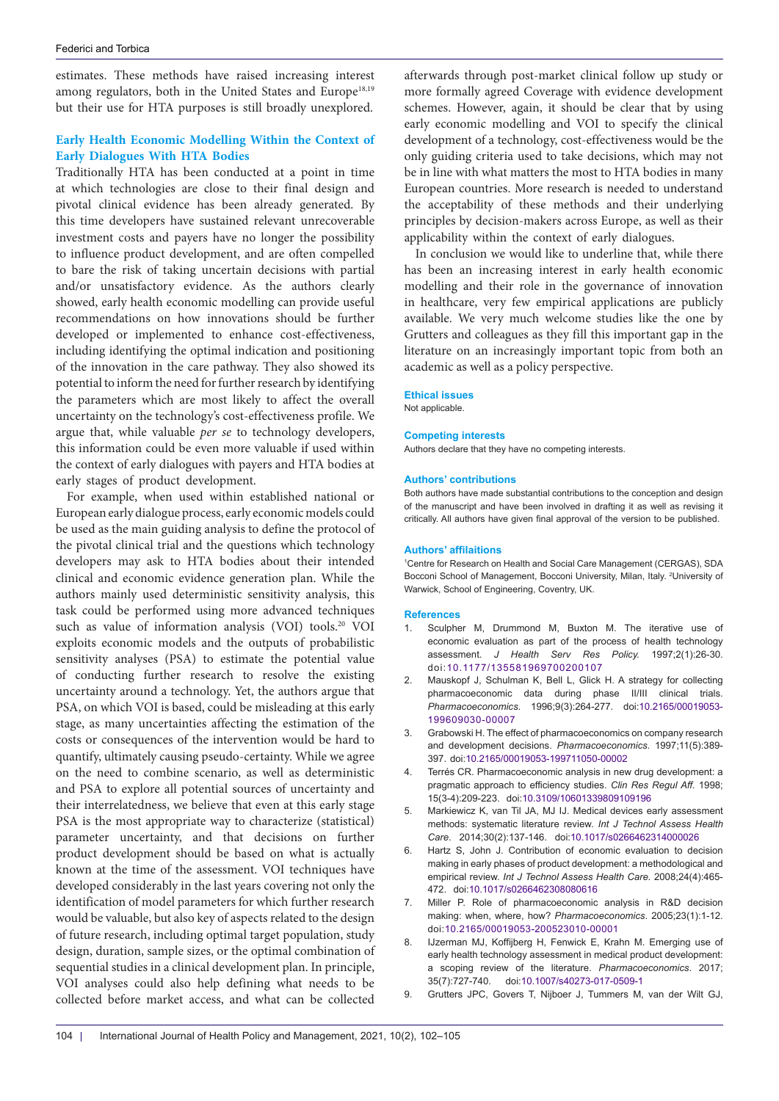estimates. These methods have raised increasing interest among regulators, both in the United States and Europe<sup>18,19</sup> but their use for HTA purposes is still broadly unexplored.

# **Early Health Economic Modelling Within the Context of Early Dialogues With HTA Bodies**

Traditionally HTA has been conducted at a point in time at which technologies are close to their final design and pivotal clinical evidence has been already generated. By this time developers have sustained relevant unrecoverable investment costs and payers have no longer the possibility to influence product development, and are often compelled to bare the risk of taking uncertain decisions with partial and/or unsatisfactory evidence. As the authors clearly showed, early health economic modelling can provide useful recommendations on how innovations should be further developed or implemented to enhance cost-effectiveness, including identifying the optimal indication and positioning of the innovation in the care pathway. They also showed its potential to inform the need for further research by identifying the parameters which are most likely to affect the overall uncertainty on the technology's cost-effectiveness profile. We argue that, while valuable *per se* to technology developers, this information could be even more valuable if used within the context of early dialogues with payers and HTA bodies at early stages of product development.

For example, when used within established national or European early dialogue process, early economic models could be used as the main guiding analysis to define the protocol of the pivotal clinical trial and the questions which technology developers may ask to HTA bodies about their intended clinical and economic evidence generation plan. While the authors mainly used deterministic sensitivity analysis, this task could be performed using more advanced techniques such as value of information analysis (VOI) tools.20 VOI exploits economic models and the outputs of probabilistic sensitivity analyses (PSA) to estimate the potential value of conducting further research to resolve the existing uncertainty around a technology. Yet, the authors argue that PSA, on which VOI is based, could be misleading at this early stage, as many uncertainties affecting the estimation of the costs or consequences of the intervention would be hard to quantify, ultimately causing pseudo-certainty. While we agree on the need to combine scenario, as well as deterministic and PSA to explore all potential sources of uncertainty and their interrelatedness, we believe that even at this early stage PSA is the most appropriate way to characterize (statistical) parameter uncertainty, and that decisions on further product development should be based on what is actually known at the time of the assessment. VOI techniques have developed considerably in the last years covering not only the identification of model parameters for which further research would be valuable, but also key of aspects related to the design of future research, including optimal target population, study design, duration, sample sizes, or the optimal combination of sequential studies in a clinical development plan. In principle, VOI analyses could also help defining what needs to be collected before market access, and what can be collected

afterwards through post-market clinical follow up study or more formally agreed Coverage with evidence development schemes. However, again, it should be clear that by using early economic modelling and VOI to specify the clinical development of a technology, cost-effectiveness would be the only guiding criteria used to take decisions, which may not be in line with what matters the most to HTA bodies in many European countries. More research is needed to understand the acceptability of these methods and their underlying principles by decision-makers across Europe, as well as their applicability within the context of early dialogues.

In conclusion we would like to underline that, while there has been an increasing interest in early health economic modelling and their role in the governance of innovation in healthcare, very few empirical applications are publicly available. We very much welcome studies like the one by Grutters and colleagues as they fill this important gap in the literature on an increasingly important topic from both an academic as well as a policy perspective.

#### **Ethical issues**

Not applicable.

#### **Competing interests**

Authors declare that they have no competing interests.

#### **Authors' contributions**

Both authors have made substantial contributions to the conception and design of the manuscript and have been involved in drafting it as well as revising it critically. All authors have given final approval of the version to be published.

#### **Authors' affilaitions**

1 Centre for Research on Health and Social Care Management (CERGAS), SDA Bocconi School of Management, Bocconi University, Milan, Italy. <sup>2</sup>University of Warwick, School of Engineering, Coventry, UK.

#### **References**

- 1. Sculpher M, Drummond M, Buxton M. The iterative use of economic evaluation as part of the process of health technology assessment. *J Health Serv Res Policy.* 1997;2(1):26-30. doi:[10.1177/135581969700200107](https://doi.org/10.1177/135581969700200107)
- 2. Mauskopf J, Schulman K, Bell L, Glick H. A strategy for collecting pharmacoeconomic data during phase II/III clinical trials. *Pharmacoeconomics*. 1996;9(3):264-277. doi:[10.2165/00019053-](https://doi.org/10.2165/00019053-199609030-00007) [199609030-00007](https://doi.org/10.2165/00019053-199609030-00007)
- 3. Grabowski H. The effect of pharmacoeconomics on company research and development decisions. *Pharmacoeconomics*. 1997;11(5):389- 397. doi:[10.2165/00019053-199711050-00002](https://doi.org/10.2165/00019053-199711050-00002)
- 4. Terrés CR. Pharmacoeconomic analysis in new drug development: a pragmatic approach to efficiency studies. *Clin Res Regul Aff.* 1998; 15(3-4):209-223. doi[:10.3109/10601339809109196](https://doi.org/10.3109/10601339809109196)
- 5. Markiewicz K, van Til JA, MJ IJ. Medical devices early assessment methods: systematic literature review. *Int J Technol Assess Health Care*. 2014;30(2):137-146. doi[:10.1017/s0266462314000026](https://doi.org/10.1017/s0266462314000026)
- 6. Hartz S, John J. Contribution of economic evaluation to decision making in early phases of product development: a methodological and empirical review. *Int J Technol Assess Health Care.* 2008;24(4):465- 472. doi:[10.1017/s0266462308080616](https://doi.org/10.1017/s0266462308080616)
- 7. Miller P. Role of pharmacoeconomic analysis in R&D decision making: when, where, how? *Pharmacoeconomics*. 2005;23(1):1-12. doi:[10.2165/00019053-200523010-00001](https://doi.org/10.2165/00019053-200523010-00001)
- 8. IJzerman MJ, Koffijberg H, Fenwick E, Krahn M. Emerging use of early health technology assessment in medical product development: a scoping review of the literature. *Pharmacoeconomics*. 2017; 35(7):727-740. doi[:10.1007/s40273-017-0509-1](https://doi.org/10.1007/s40273-017-0509-1)
- 9. Grutters JPC, Govers T, Nijboer J, Tummers M, van der Wilt GJ,